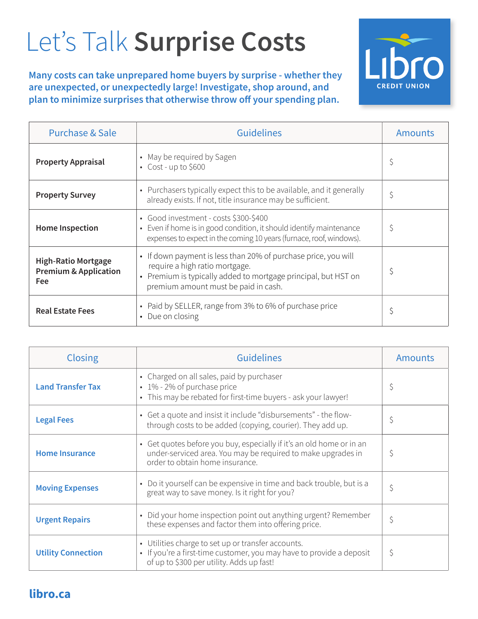## Let's Talk **Surprise Costs**

**Many costs can take unprepared home buyers by surprise - whether they are unexpected, or unexpectedly large! Investigate, shop around, and plan to minimize surprises that otherwise throw off your spending plan.**



| <b>Purchase &amp; Sale</b>                                            | <b>Guidelines</b>                                                                                                                                                                                          | <b>Amounts</b> |
|-----------------------------------------------------------------------|------------------------------------------------------------------------------------------------------------------------------------------------------------------------------------------------------------|----------------|
| <b>Property Appraisal</b>                                             | • May be required by Sagen<br>$\cdot$ Cost - up to \$600                                                                                                                                                   | \$             |
| <b>Property Survey</b>                                                | • Purchasers typically expect this to be available, and it generally<br>already exists. If not, title insurance may be sufficient.                                                                         | \$             |
| <b>Home Inspection</b>                                                | • Good investment - costs \$300-\$400<br>• Even if home is in good condition, it should identify maintenance<br>expenses to expect in the coming 10 years (furnace, roof, windows).                        | \$             |
| <b>High-Ratio Mortgage</b><br><b>Premium &amp; Application</b><br>Fee | • If down payment is less than 20% of purchase price, you will<br>require a high ratio mortgage.<br>• Premium is typically added to mortgage principal, but HST on<br>premium amount must be paid in cash. | \$             |
| <b>Real Estate Fees</b>                                               | • Paid by SELLER, range from 3% to 6% of purchase price<br>• Due on closing                                                                                                                                | \$             |

| <b>Closing</b>            | <b>Guidelines</b>                                                                                                                                                       | <b>Amounts</b> |
|---------------------------|-------------------------------------------------------------------------------------------------------------------------------------------------------------------------|----------------|
| <b>Land Transfer Tax</b>  | • Charged on all sales, paid by purchaser<br>• 1% - 2% of purchase price<br>• This may be rebated for first-time buyers - ask your lawyer!                              | \$             |
| <b>Legal Fees</b>         | • Get a quote and insist it include "disbursements" - the flow-<br>through costs to be added (copying, courier). They add up.                                           | \$             |
| <b>Home Insurance</b>     | • Get quotes before you buy, especially if it's an old home or in an<br>under-serviced area. You may be required to make upgrades in<br>order to obtain home insurance. | \$             |
| <b>Moving Expenses</b>    | Do it yourself can be expensive in time and back trouble, but is a<br>great way to save money. Is it right for you?                                                     | \$             |
| <b>Urgent Repairs</b>     | • Did your home inspection point out anything urgent? Remember<br>these expenses and factor them into offering price.                                                   | \$             |
| <b>Utility Connection</b> | • Utilities charge to set up or transfer accounts.<br>• If you're a first-time customer, you may have to provide a deposit<br>of up to \$300 per utility. Adds up fast! | \$             |

## **libro.ca**